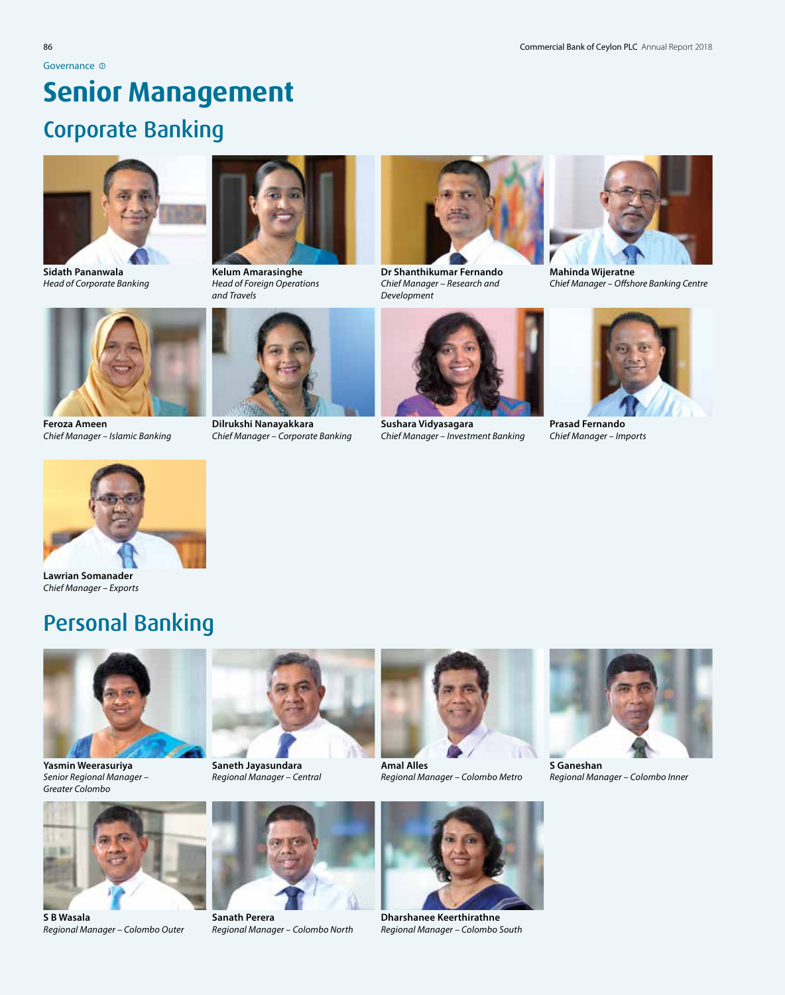# **Senior Management**

## Corporate Banking



**Sidath Pananwala** *Head of Corporate Banking*



**Feroza Ameen** *Chief Manager – Islamic Banking*



**Kelum Amarasinghe** *Head of Foreign Operations and Travels* 



**Dilrukshi Nanayakkara** *Chief Manager – Corporate Banking*



**Dr Shanthikumar Fernando** *Chief Manager – Research and Development*



**Sushara Vidyasagara** *Chief Manager – Investment Banking*



**Mahinda Wijeratne** *Chief Manager – Offshore Banking Centre*



**Prasad Fernando** *Chief Manager – Imports*



**Lawrian Somanader** *Chief Manager – Exports*

## Personal Banking



**Yasmin Weerasuriya** *Senior Regional Manager – Greater Colombo*



**S B Wasala** *Regional Manager – Colombo Outer*



**Saneth Jayasundara** *Regional Manager – Central*



**Sanath Perera** *Regional Manager – Colombo North*



**Amal Alles** *Regional Manager – Colombo Metro*



**Dharshanee Keerthirathne** *Regional Manager – Colombo South*



**S Ganeshan** *Regional Manager – Colombo Inner*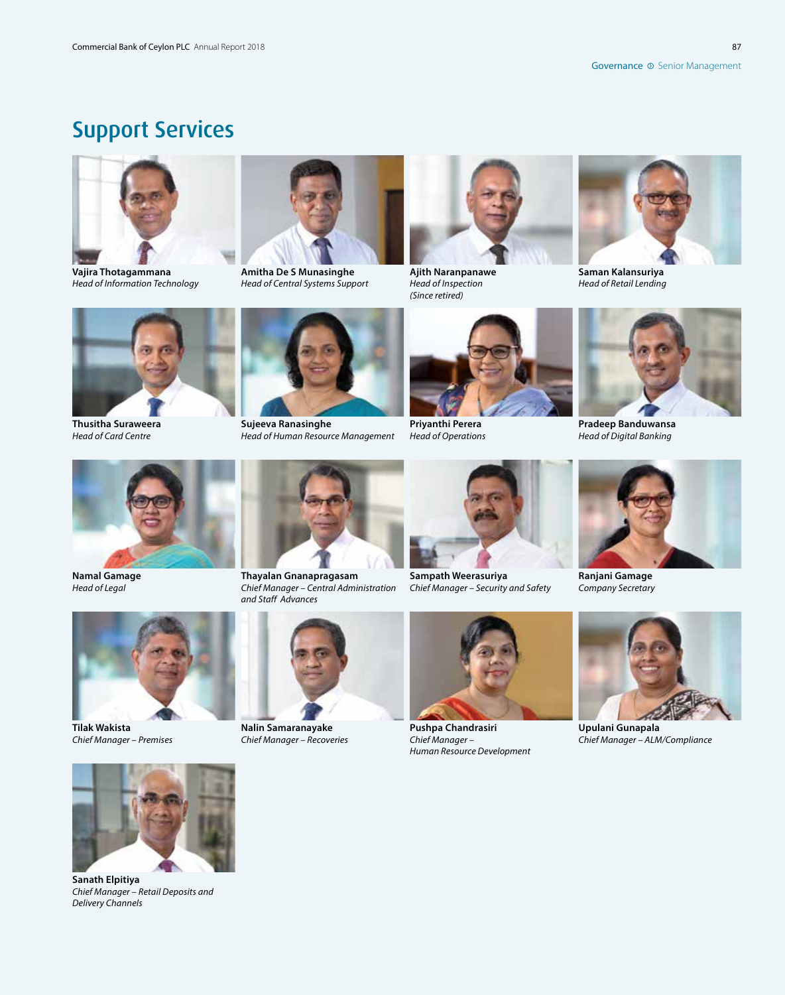87

# Support Services



**Vajira Thotagammana** *Head of Information Technology*



**Amitha De S Munasinghe** *Head of Central Systems Support*



**Ajith Naranpanawe** *Head of Inspection (Since retired)*



**Saman Kalansuriya** *Head of Retail Lending*



**Thusitha Suraweera** *Head of Card Centre*



**Sujeeva Ranasinghe** *Head of Human Resource Management*



**Priyanthi Perera** *Head of Operations*



**Pradeep Banduwansa** *Head of Digital Banking*



**Namal Gamage** *Head of Legal*



**Tilak Wakista** *Chief Manager – Premises*



**Thayalan Gnanapragasam** *Chief Manager – Central Administration* 



**Sampath Weerasuriya** *Chief Manager – Security and Safety*



*Company Secretary*



**Upulani Gunapala** *Chief Manager – ALM/Compliance*





**Nalin Samaranayake** *Chief Manager – Recoveries*



**Pushpa Chandrasiri** *Chief Manager – Human Resource Development*



**Sanath Elpitiya** *Chief Manager – Retail Deposits and Delivery Channels*